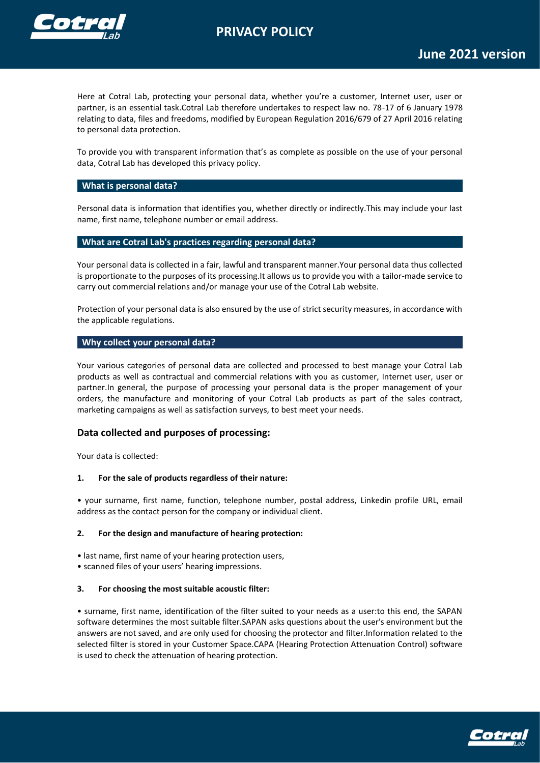# **PRIVACY POLICY**



Here at Cotral Lab, protecting your personal data, whether you're a customer, Internet user, user or partner, is an essential task.Cotral Lab therefore undertakes to respect law no. 78-17 of 6 January 1978 relating to data, files and freedoms, modified by European Regulation 2016/679 of 27 April 2016 relating to personal data protection.

To provide you with transparent information that's as complete as possible on the use of your personal data, Cotral Lab has developed this privacy policy.

# **What is personal data?**

Personal data is information that identifies you, whether directly or indirectly.This may include your last name, first name, telephone number or email address.

# **What are Cotral Lab's practices regarding personal data?**

Your personal data is collected in a fair, lawful and transparent manner.Your personal data thus collected is proportionate to the purposes of its processing.It allows us to provide you with a tailor-made service to carry out commercial relations and/or manage your use of the Cotral Lab website.

Protection of your personal data is also ensured by the use of strict security measures, in accordance with the applicable regulations.

# **Why collect your personal data?**

Your various categories of personal data are collected and processed to best manage your Cotral Lab products as well as contractual and commercial relations with you as customer, Internet user, user or partner.In general, the purpose of processing your personal data is the proper management of your orders, the manufacture and monitoring of your Cotral Lab products as part of the sales contract, marketing campaigns as well as satisfaction surveys, to best meet your needs.

# **Data collected and purposes of processing:**

Your data is collected:

# **1. For the sale of products regardless of their nature:**

• your surname, first name, function, telephone number, postal address, Linkedin profile URL, email address as the contact person for the company or individual client.

# **2. For the design and manufacture of hearing protection:**

- last name, first name of your hearing protection users,
- scanned files of your users' hearing impressions.

# **3. For choosing the most suitable acoustic filter:**

• surname, first name, identification of the filter suited to your needs as a user:to this end, the SAPAN software determines the most suitable filter.SAPAN asks questions about the user's environment but the answers are not saved, and are only used for choosing the protector and filter.Information related to the selected filter is stored in your Customer Space.CAPA (Hearing Protection Attenuation Control) software is used to check the attenuation of hearing protection.

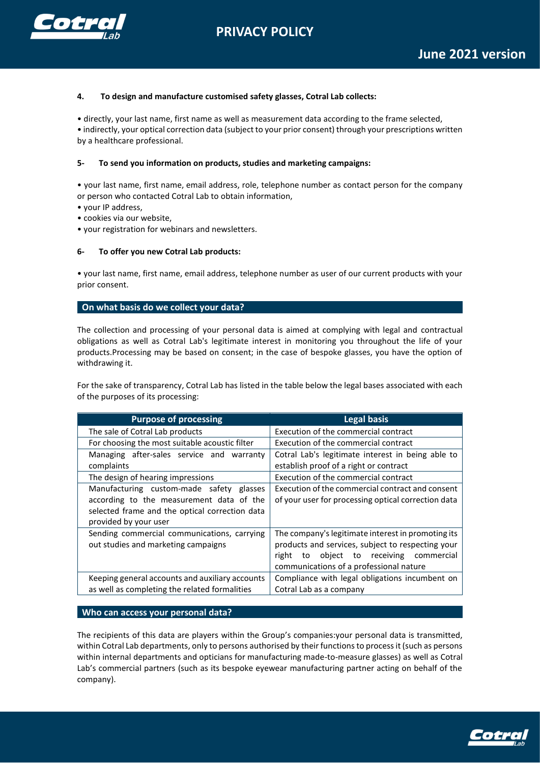**PRIVACY POLICY**



#### **4. To design and manufacture customised safety glasses, Cotral Lab collects:**

• directly, your last name, first name as well as measurement data according to the frame selected, • indirectly, your optical correction data (subject to your prior consent) through your prescriptions written by a healthcare professional.

#### **5- To send you information on products, studies and marketing campaigns:**

• your last name, first name, email address, role, telephone number as contact person for the company or person who contacted Cotral Lab to obtain information,

- your IP address,
- cookies via our website,
- your registration for webinars and newsletters.

#### **6- To offer you new Cotral Lab products:**

• your last name, first name, email address, telephone number as user of our current products with your prior consent.

#### **On what basis do we collect your data?**

The collection and processing of your personal data is aimed at complying with legal and contractual obligations as well as Cotral Lab's legitimate interest in monitoring you throughout the life of your products.Processing may be based on consent; in the case of bespoke glasses, you have the option of withdrawing it.

For the sake of transparency, Cotral Lab has listed in the table below the legal bases associated with each of the purposes of its processing:

| <b>Purpose of processing</b>                    | <b>Legal basis</b>                                  |
|-------------------------------------------------|-----------------------------------------------------|
| The sale of Cotral Lab products                 | Execution of the commercial contract                |
| For choosing the most suitable acoustic filter  | Execution of the commercial contract                |
| Managing after-sales service and warranty       | Cotral Lab's legitimate interest in being able to   |
| complaints                                      | establish proof of a right or contract              |
| The design of hearing impressions               | Execution of the commercial contract                |
| Manufacturing custom-made safety glasses        | Execution of the commercial contract and consent    |
| according to the measurement data of the        | of your user for processing optical correction data |
| selected frame and the optical correction data  |                                                     |
| provided by your user                           |                                                     |
| Sending commercial communications, carrying     | The company's legitimate interest in promoting its  |
| out studies and marketing campaigns             | products and services, subject to respecting your   |
|                                                 | to object to receiving commercial<br>right          |
|                                                 | communications of a professional nature             |
| Keeping general accounts and auxiliary accounts | Compliance with legal obligations incumbent on      |
| as well as completing the related formalities   | Cotral Lab as a company                             |

**Who can access your personal data?**

The recipients of this data are players within the Group's companies:your personal data is transmitted, within Cotral Lab departments, only to persons authorised by their functions to process it (such as persons within internal departments and opticians for manufacturing made-to-measure glasses) as well as Cotral Lab's commercial partners (such as its bespoke eyewear manufacturing partner acting on behalf of the company).

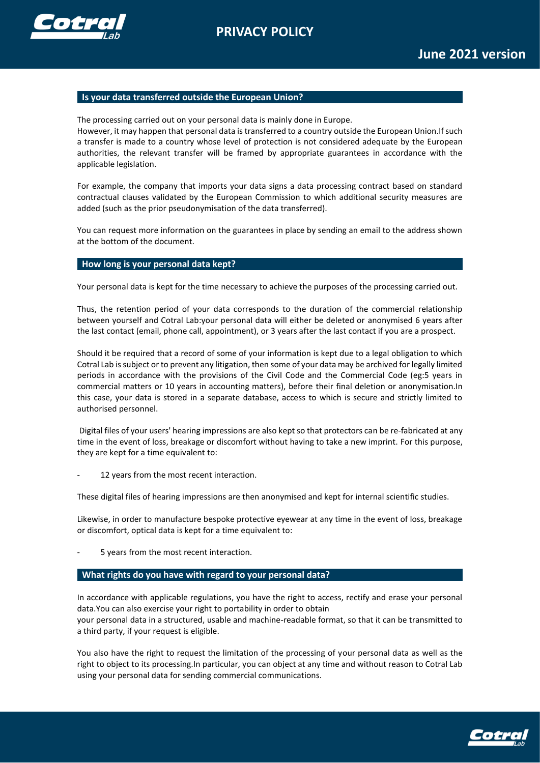



# **Is your data transferred outside the European Union?**

The processing carried out on your personal data is mainly done in Europe. However, it may happen that personal data is transferred to a country outside the European Union.If such a transfer is made to a country whose level of protection is not considered adequate by the European authorities, the relevant transfer will be framed by appropriate guarantees in accordance with the applicable legislation.

For example, the company that imports your data signs a data processing contract based on standard contractual clauses validated by the European Commission to which additional security measures are added (such as the prior pseudonymisation of the data transferred).

You can request more information on the guarantees in place by sending an email to the address shown at the bottom of the document.

# **How long is your personal data kept?**

Your personal data is kept for the time necessary to achieve the purposes of the processing carried out.

Thus, the retention period of your data corresponds to the duration of the commercial relationship between yourself and Cotral Lab:your personal data will either be deleted or anonymised 6 years after the last contact (email, phone call, appointment), or 3 years after the last contact if you are a prospect.

Should it be required that a record of some of your information is kept due to a legal obligation to which Cotral Lab is subject or to prevent any litigation, then some of your data may be archived for legally limited periods in accordance with the provisions of the Civil Code and the Commercial Code (eg:5 years in commercial matters or 10 years in accounting matters), before their final deletion or anonymisation.In this case, your data is stored in a separate database, access to which is secure and strictly limited to authorised personnel.

Digital files of your users' hearing impressions are also kept so that protectors can be re-fabricated at any time in the event of loss, breakage or discomfort without having to take a new imprint. For this purpose, they are kept for a time equivalent to:

12 years from the most recent interaction.

These digital files of hearing impressions are then anonymised and kept for internal scientific studies.

Likewise, in order to manufacture bespoke protective eyewear at any time in the event of loss, breakage or discomfort, optical data is kept for a time equivalent to:

5 years from the most recent interaction.

# **What rights do you have with regard to your personal data?**

In accordance with applicable regulations, you have the right to access, rectify and erase your personal data.You can also exercise your right to portability in order to obtain your personal data in a structured, usable and machine-readable format, so that it can be transmitted to a third party, if your request is eligible.

You also have the right to request the limitation of the processing of your personal data as well as the right to object to its processing.In particular, you can object at any time and without reason to Cotral Lab using your personal data for sending commercial communications.